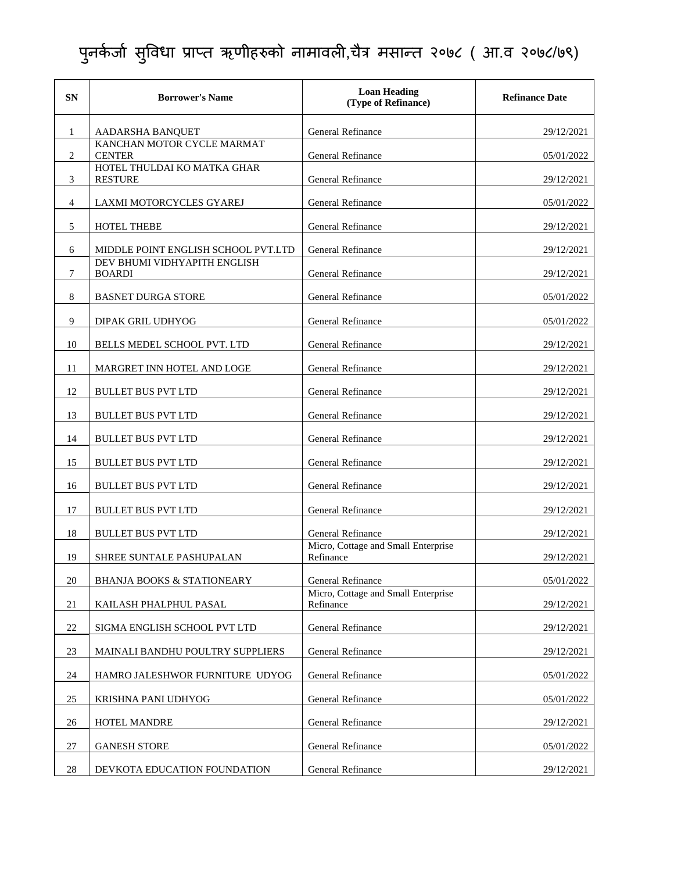| <b>SN</b> | <b>Borrower's Name</b>                        | <b>Loan Heading</b><br>(Type of Refinance)       | <b>Refinance Date</b> |
|-----------|-----------------------------------------------|--------------------------------------------------|-----------------------|
| 1         | AADARSHA BANQUET                              | General Refinance                                | 29/12/2021            |
| 2         | KANCHAN MOTOR CYCLE MARMAT<br><b>CENTER</b>   | <b>General Refinance</b>                         | 05/01/2022            |
| 3         | HOTEL THULDAI KO MATKA GHAR<br><b>RESTURE</b> | <b>General Refinance</b>                         | 29/12/2021            |
| 4         | LAXMI MOTORCYCLES GYAREJ                      | General Refinance                                | 05/01/2022            |
| 5         | <b>HOTEL THEBE</b>                            | General Refinance                                | 29/12/2021            |
| 6         | MIDDLE POINT ENGLISH SCHOOL PVT.LTD           | <b>General Refinance</b>                         | 29/12/2021            |
| 7         | DEV BHUMI VIDHYAPITH ENGLISH<br><b>BOARDI</b> | General Refinance                                | 29/12/2021            |
| 8         | <b>BASNET DURGA STORE</b>                     | <b>General Refinance</b>                         | 05/01/2022            |
| 9         | DIPAK GRIL UDHYOG                             | <b>General Refinance</b>                         | 05/01/2022            |
| 10        | BELLS MEDEL SCHOOL PVT. LTD                   | <b>General Refinance</b>                         | 29/12/2021            |
| 11        | MARGRET INN HOTEL AND LOGE                    | General Refinance                                | 29/12/2021            |
| 12        | <b>BULLET BUS PVT LTD</b>                     | <b>General Refinance</b>                         | 29/12/2021            |
| 13        | <b>BULLET BUS PVT LTD</b>                     | <b>General Refinance</b>                         | 29/12/2021            |
| 14        | <b>BULLET BUS PVT LTD</b>                     | <b>General Refinance</b>                         | 29/12/2021            |
| 15        | <b>BULLET BUS PVT LTD</b>                     | General Refinance                                | 29/12/2021            |
| 16        | <b>BULLET BUS PVT LTD</b>                     | General Refinance                                | 29/12/2021            |
| 17        | <b>BULLET BUS PVT LTD</b>                     | <b>General Refinance</b>                         | 29/12/2021            |
| 18        | <b>BULLET BUS PVT LTD</b>                     | General Refinance                                | 29/12/2021            |
| 19        | SHREE SUNTALE PASHUPALAN                      | Micro, Cottage and Small Enterprise<br>Refinance | 29/12/2021            |
| 20        | <b>BHANJA BOOKS &amp; STATIONEARY</b>         | General Refinance                                | 05/01/2022            |
| 21        | KAILASH PHALPHUL PASAL                        | Micro, Cottage and Small Enterprise<br>Refinance | 29/12/2021            |
| 22        | SIGMA ENGLISH SCHOOL PVT LTD                  | General Refinance                                | 29/12/2021            |
| 23        | MAINALI BANDHU POULTRY SUPPLIERS              | General Refinance                                | 29/12/2021            |
| 24        | HAMRO JALESHWOR FURNITURE UDYOG               | General Refinance                                | 05/01/2022            |
| 25        | KRISHNA PANI UDHYOG                           | General Refinance                                | 05/01/2022            |
| 26        | HOTEL MANDRE                                  | General Refinance                                | 29/12/2021            |
| 27        | <b>GANESH STORE</b>                           | General Refinance                                | 05/01/2022            |
| 28        | DEVKOTA EDUCATION FOUNDATION                  | General Refinance                                | 29/12/2021            |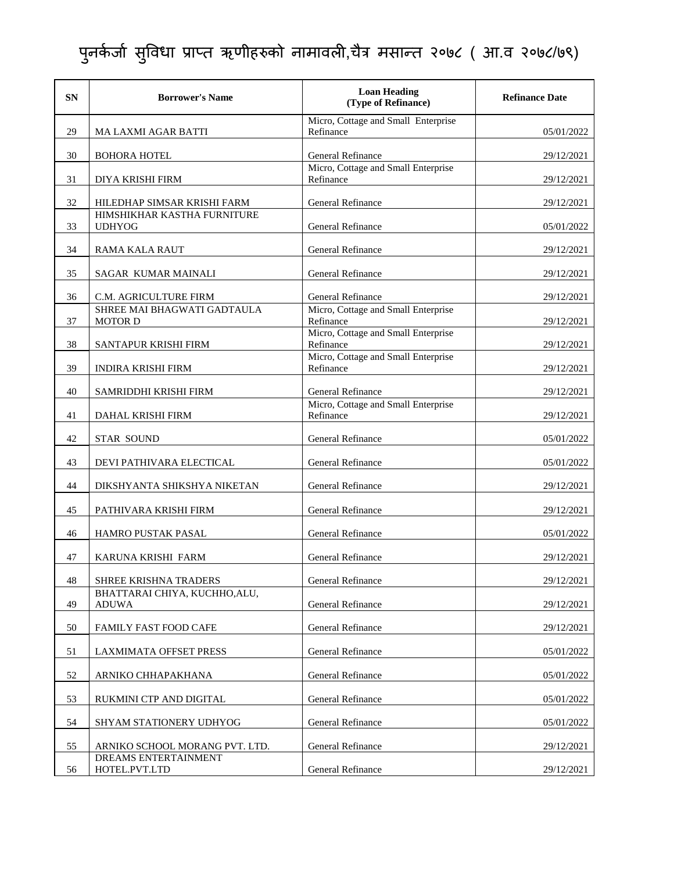| <b>SN</b> | <b>Borrower's Name</b>                        | <b>Loan Heading</b><br>(Type of Refinance)       | <b>Refinance Date</b> |
|-----------|-----------------------------------------------|--------------------------------------------------|-----------------------|
| 29        | <b>MA LAXMI AGAR BATTI</b>                    | Micro, Cottage and Small Enterprise<br>Refinance | 05/01/2022            |
| 30        | <b>BOHORA HOTEL</b>                           | General Refinance                                | 29/12/2021            |
| 31        | DIYA KRISHI FIRM                              | Micro, Cottage and Small Enterprise<br>Refinance | 29/12/2021            |
| 32        | HILEDHAP SIMSAR KRISHI FARM                   | General Refinance                                | 29/12/2021            |
| 33        | HIMSHIKHAR KASTHA FURNITURE<br><b>UDHYOG</b>  | General Refinance                                | 05/01/2022            |
| 34        | <b>RAMA KALA RAUT</b>                         | <b>General Refinance</b>                         | 29/12/2021            |
| 35        | SAGAR KUMAR MAINALI                           | General Refinance                                | 29/12/2021            |
| 36        | C.M. AGRICULTURE FIRM                         | General Refinance                                | 29/12/2021            |
| 37        | SHREE MAI BHAGWATI GADTAULA<br><b>MOTOR D</b> | Micro, Cottage and Small Enterprise<br>Refinance | 29/12/2021            |
| 38        | SANTAPUR KRISHI FIRM                          | Micro, Cottage and Small Enterprise<br>Refinance | 29/12/2021            |
| 39        | <b>INDIRA KRISHI FIRM</b>                     | Micro, Cottage and Small Enterprise<br>Refinance | 29/12/2021            |
| 40        | SAMRIDDHI KRISHI FIRM                         | <b>General Refinance</b>                         | 29/12/2021            |
| 41        | DAHAL KRISHI FIRM                             | Micro, Cottage and Small Enterprise<br>Refinance | 29/12/2021            |
| 42        | <b>STAR SOUND</b>                             | <b>General Refinance</b>                         | 05/01/2022            |
| 43        | DEVI PATHIVARA ELECTICAL                      | General Refinance                                | 05/01/2022            |
| 44        | DIKSHYANTA SHIKSHYA NIKETAN                   | General Refinance                                | 29/12/2021            |
| 45        | PATHIVARA KRISHI FIRM                         | General Refinance                                | 29/12/2021            |
| 46        | HAMRO PUSTAK PASAL                            | General Refinance                                | 05/01/2022            |
| 47        | KARUNA KRISHI FARM                            | <b>General Refinance</b>                         | 29/12/2021            |
| 48        | SHREE KRISHNA TRADERS                         | General Refinance                                | 29/12/2021            |
| 49        | BHATTARAI CHIYA, KUCHHO, ALU,<br><b>ADUWA</b> | General Refinance                                | 29/12/2021            |
| 50        | <b>FAMILY FAST FOOD CAFE</b>                  | <b>General Refinance</b>                         | 29/12/2021            |
| 51        | <b>LAXMIMATA OFFSET PRESS</b>                 | <b>General Refinance</b>                         | 05/01/2022            |
| 52        | ARNIKO CHHAPAKHANA                            | General Refinance                                | 05/01/2022            |
| 53        | RUKMINI CTP AND DIGITAL                       | General Refinance                                | 05/01/2022            |
| 54        | SHYAM STATIONERY UDHYOG                       | General Refinance                                | 05/01/2022            |
| 55        | ARNIKO SCHOOL MORANG PVT. LTD.                | <b>General Refinance</b>                         | 29/12/2021            |
| 56        | DREAMS ENTERTAINMENT<br>HOTEL.PVT.LTD         | General Refinance                                | 29/12/2021            |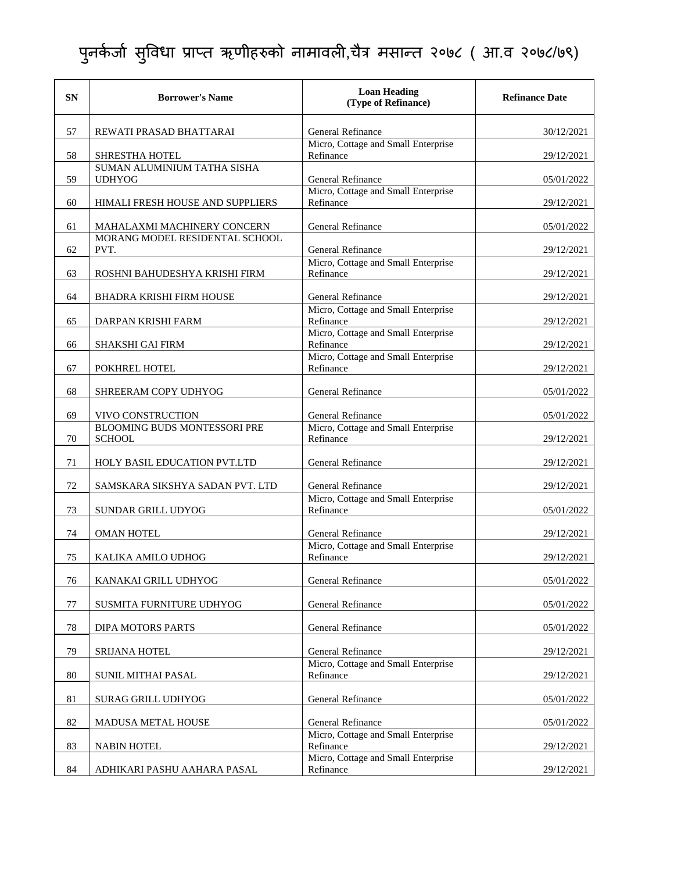| <b>SN</b> | <b>Borrower's Name</b>                               | <b>Loan Heading</b><br>(Type of Refinance)       | <b>Refinance Date</b> |
|-----------|------------------------------------------------------|--------------------------------------------------|-----------------------|
| 57        | REWATI PRASAD BHATTARAI                              | General Refinance                                | 30/12/2021            |
| 58        | <b>SHRESTHA HOTEL</b>                                | Micro, Cottage and Small Enterprise<br>Refinance | 29/12/2021            |
| 59        | SUMAN ALUMINIUM TATHA SISHA<br><b>UDHYOG</b>         | General Refinance                                | 05/01/2022            |
| 60        | HIMALI FRESH HOUSE AND SUPPLIERS                     | Micro, Cottage and Small Enterprise<br>Refinance | 29/12/2021            |
| 61        | MAHALAXMI MACHINERY CONCERN                          | General Refinance                                | 05/01/2022            |
| 62        | MORANG MODEL RESIDENTAL SCHOOL<br>PVT.               | General Refinance                                | 29/12/2021            |
| 63        | ROSHNI BAHUDESHYA KRISHI FIRM                        | Micro, Cottage and Small Enterprise<br>Refinance | 29/12/2021            |
| 64        | <b>BHADRA KRISHI FIRM HOUSE</b>                      | <b>General Refinance</b>                         | 29/12/2021            |
| 65        | DARPAN KRISHI FARM                                   | Micro, Cottage and Small Enterprise<br>Refinance | 29/12/2021            |
| 66        | SHAKSHI GAI FIRM                                     | Micro, Cottage and Small Enterprise<br>Refinance | 29/12/2021            |
| 67        | POKHREL HOTEL                                        | Micro, Cottage and Small Enterprise<br>Refinance | 29/12/2021            |
| 68        | SHREERAM COPY UDHYOG                                 | General Refinance                                | 05/01/2022            |
| 69        | VIVO CONSTRUCTION                                    | General Refinance                                | 05/01/2022            |
| 70        | <b>BLOOMING BUDS MONTESSORI PRE</b><br><b>SCHOOL</b> | Micro, Cottage and Small Enterprise<br>Refinance | 29/12/2021            |
| 71        | HOLY BASIL EDUCATION PVT.LTD                         | General Refinance                                | 29/12/2021            |
| 72        | SAMSKARA SIKSHYA SADAN PVT. LTD                      | <b>General Refinance</b>                         | 29/12/2021            |
| 73        | SUNDAR GRILL UDYOG                                   | Micro, Cottage and Small Enterprise<br>Refinance | 05/01/2022            |
| 74        | <b>OMAN HOTEL</b>                                    | General Refinance                                | 29/12/2021            |
| 75        | KALIKA AMILO UDHOG                                   | Micro, Cottage and Small Enterprise<br>Refinance | 29/12/2021            |
| 76        | KANAKAI GRILL UDHYOG                                 | General Refinance                                | 05/01/2022            |
| 77        | SUSMITA FURNITURE UDHYOG                             | General Refinance                                | 05/01/2022            |
| 78        | DIPA MOTORS PARTS                                    | General Refinance                                | 05/01/2022            |
| 79        | SRIJANA HOTEL                                        | General Refinance                                | 29/12/2021            |
| 80        | <b>SUNIL MITHAI PASAL</b>                            | Micro, Cottage and Small Enterprise<br>Refinance | 29/12/2021            |
| 81        | <b>SURAG GRILL UDHYOG</b>                            | General Refinance                                | 05/01/2022            |
| 82        | MADUSA METAL HOUSE                                   | General Refinance                                | 05/01/2022            |
| 83        | <b>NABIN HOTEL</b>                                   | Micro, Cottage and Small Enterprise<br>Refinance | 29/12/2021            |
| 84        | ADHIKARI PASHU AAHARA PASAL                          | Micro, Cottage and Small Enterprise<br>Refinance | 29/12/2021            |